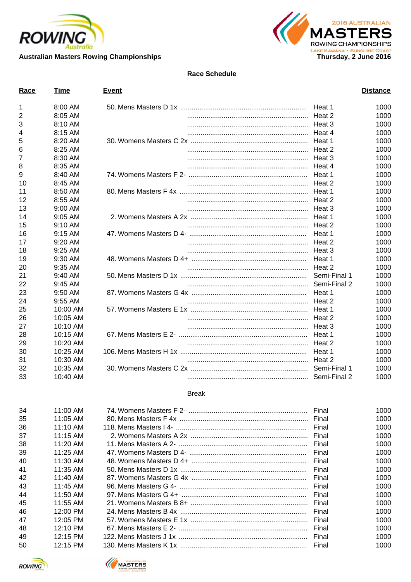



| Race | <b>Time</b> | <u>Event</u> |              | <b>Distance</b> |
|------|-------------|--------------|--------------|-----------------|
| 1    | 8:00 AM     |              | Heat 1       | 1000            |
| 2    | 8:05 AM     |              |              | 1000            |
| 3    | 8:10 AM     |              |              | 1000            |
| 4    | 8:15 AM     |              |              | 1000            |
| 5    | 8:20 AM     |              |              | 1000            |
| 6    | 8:25 AM     |              |              | 1000            |
| 7    | 8:30 AM     |              |              | 1000            |
| 8    | 8:35 AM     |              |              | 1000            |
| 9    | 8:40 AM     |              | Heat 1       | 1000            |
| 10   | 8:45 AM     |              |              | 1000            |
| 11   | 8:50 AM     |              | Heat 1       | 1000            |
| 12   | 8:55 AM     |              | Heat 2       | 1000            |
| 13   | $9:00$ AM   |              | Heat 3       | 1000            |
| 14   | $9:05$ AM   |              | Heat 1       | 1000            |
| 15   | 9:10 AM     |              | Heat 2       | 1000            |
| 16   | $9:15$ AM   |              | Heat 1       | 1000            |
| 17   |             |              | Heat 2       | 1000            |
|      | $9:20$ AM   |              | Heat 3       | 1000            |
| 18   | $9:25$ AM   |              |              |                 |
| 19   | 9:30 AM     |              | Heat 1       | 1000            |
| 20   | $9:35$ AM   |              |              | 1000            |
| 21   | 9:40 AM     |              | Semi-Final 1 | 1000            |
| 22   | 9:45 AM     |              |              | 1000            |
| 23   | 9:50 AM     |              | Heat 1       | 1000            |
| 24   | $9:55$ AM   |              | Heat 2       | 1000            |
| 25   | 10:00 AM    |              | Heat 1       | 1000            |
| 26   | 10:05 AM    |              | Heat 2       | 1000            |
| 27   | 10:10 AM    |              |              | 1000            |
| 28   | 10:15 AM    |              | Heat 1       | 1000            |
| 29   | 10:20 AM    |              |              | 1000            |
| 30   | 10:25 AM    |              | Heat 1       | 1000            |
| 31   | 10:30 AM    |              |              | 1000            |
| 32   | 10:35 AM    |              |              | 1000            |
| 33   | 10:40 AM    |              |              | 1000            |
|      |             | <b>Break</b> |              |                 |
| 34   | 11:00 AM    |              |              | 1000            |
| 35   | 11:05 AM    |              |              | 1000            |
| 36   | 11:10 AM    |              |              | 1000            |
| 37   | 11:15 AM    |              |              | 1000            |
| 38   | 11:20 AM    |              |              | 1000            |
| 39   | 11:25 AM    |              | Final        | 1000            |
| 40   | 11:30 AM    |              | Final        | 1000            |
| 41   | 11:35 AM    |              | Final        | 1000            |
| 42   | 11:40 AM    |              | Final        | 1000            |
| 43   | 11:45 AM    |              |              | 1000            |
| 44   | 11:50 AM    |              | Final        | 1000            |
| 45   | 11:55 AM    |              |              | 1000            |
| 46   | 12:00 PM    |              | Final        | 1000            |
| 47   | 12:05 PM    |              | Final        | 1000            |
| 48   | 12:10 PM    |              | Final        | 1000            |
| 49   | 12:15 PM    |              | Final        | 1000            |
| 50   | 12:15 PM    |              |              | 1000            |
|      |             |              |              |                 |



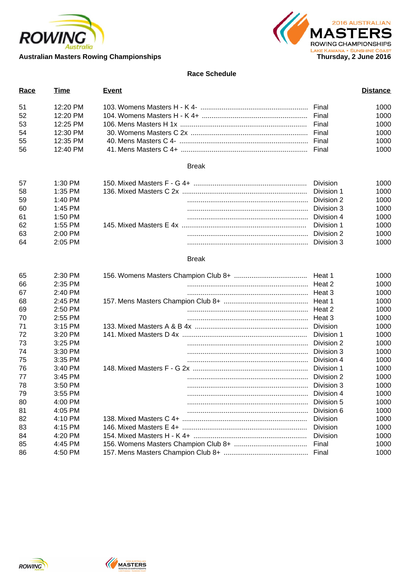



| Race | <b>Time</b> | <b>Event</b> |                 | <b>Distance</b> |
|------|-------------|--------------|-----------------|-----------------|
| 51   | 12:20 PM    |              | Final           | 1000            |
| 52   | 12:20 PM    |              | Final           | 1000            |
| 53   | 12:25 PM    |              | Final           | 1000            |
| 54   | 12:30 PM    |              | Final           | 1000            |
| 55   | 12:35 PM    |              | Final           | 1000            |
| 56   | 12:40 PM    |              |                 | 1000            |
|      |             | <b>Break</b> |                 |                 |
| 57   | 1:30 PM     |              | <b>Division</b> | 1000            |
| 58   | 1:35 PM     |              | Division 1      | 1000            |
| 59   | 1:40 PM     |              | Division 2      | 1000            |
| 60   | 1:45 PM     |              | Division 3      | 1000            |
| 61   | 1:50 PM     |              | Division 4      | 1000            |
| 62   | 1:55 PM     |              | Division 1      | 1000            |
| 63   | 2:00 PM     |              | Division 2      | 1000            |
| 64   | 2:05 PM     |              | Division 3      | 1000            |
|      |             | <b>Break</b> |                 |                 |
| 65   | 2:30 PM     |              | Heat 1          | 1000            |
| 66   | 2:35 PM     |              | Heat 2          | 1000            |
| 67   | 2:40 PM     |              | Heat 3          | 1000            |
| 68   | 2:45 PM     |              | Heat 1          | 1000            |
| 69   | 2:50 PM     |              | Heat 2          | 1000            |
| 70   | 2:55 PM     |              | Heat 3          | 1000            |
| 71   | 3:15 PM     |              | <b>Division</b> | 1000            |
| 72   | 3:20 PM     |              | Division 1      | 1000            |
| 73   | 3:25 PM     |              | Division 2      | 1000            |
| 74   | 3:30 PM     |              | Division 3      | 1000            |
| 75   | 3:35 PM     |              | Division 4      | 1000            |
| 76   | 3:40 PM     |              | Division 1      | 1000            |
| 77   | 3:45 PM     |              | Division 2      | 1000            |
| 78   | 3:50 PM     |              | Division 3      | 1000            |
| 79   | 3:55 PM     |              | Division 4      | 1000            |
| 80   | 4:00 PM     |              | Division 5      | 1000            |
| 81   | 4:05 PM     |              | Division 6      | 1000            |
| 82   | 4:10 PM     |              | Division        | 1000            |
| 83   | 4:15 PM     |              | Division        | 1000            |
| 84   | 4:20 PM     |              | <b>Division</b> | 1000            |
| 85   | 4:45 PM     |              | Final           | 1000            |
| 86   | 4:50 PM     |              | Final           | 1000            |



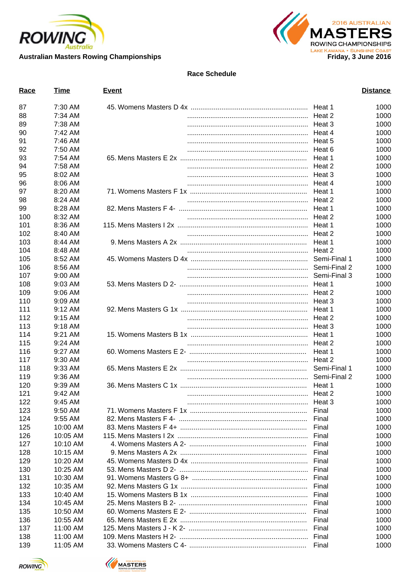



| <b>Race</b> | <b>Time</b> | <b>Event</b> |              | <b>Distance</b> |
|-------------|-------------|--------------|--------------|-----------------|
| 87          | 7:30 AM     |              | Heat 1       | 1000            |
| 88          | 7:34 AM     |              |              | 1000            |
| 89          | 7:38 AM     |              |              | 1000            |
| 90          | 7:42 AM     |              |              | 1000            |
| 91          | 7:46 AM     |              |              | 1000            |
| 92          | 7:50 AM     |              |              | 1000            |
| 93          | 7:54 AM     |              |              | 1000            |
| 94          | 7:58 AM     |              |              | 1000            |
| 95          | 8:02 AM     |              |              | 1000            |
| 96          | 8:06 AM     |              |              | 1000            |
| 97          | 8:20 AM     |              | Heat 1       | 1000            |
| 98          | 8:24 AM     |              |              | 1000            |
| 99          | 8:28 AM     |              | Heat 1       | 1000            |
| 100         | 8:32 AM     |              |              | 1000            |
| 101         | 8:36 AM     |              | Heat 1       | 1000            |
| 102         | 8:40 AM     |              |              | 1000            |
| 103         | 8:44 AM     |              | Heat 1       | 1000            |
| 104         | 8:48 AM     |              |              | 1000            |
| 105         | 8:52 AM     |              | Semi-Final 1 | 1000            |
| 106         | 8:56 AM     |              |              | 1000            |
| 107         | 9:00 AM     |              |              | 1000            |
| 108         | $9:03$ AM   |              |              | 1000            |
| 109         | 9:06 AM     |              |              | 1000            |
| 110         | $9:09$ AM   |              |              | 1000            |
| 111         | 9:12 AM     |              | Heat 1       | 1000            |
| 112         | 9:15 AM     |              | Heat 2       | 1000            |
| 113         | 9:18 AM     |              | Heat 3       | 1000            |
| 114         | $9:21$ AM   |              | Heat 1       | 1000            |
| 115         | $9:24$ AM   |              | Heat 2       | 1000            |
| 116         | 9:27 AM     |              | Heat 1       | 1000            |
| 117         | 9:30 AM     |              | Heat 2       | 1000            |
| 118         | 9:33 AM     |              | Semi-Final 1 | 1000            |
| 119         | 9:36 AM     |              |              | 1000            |
| 120         | 9:39 AM     |              |              | 1000            |
| 121         | 9:42 AM     |              |              | 1000            |
| 122         | 9:45 AM     |              |              | 1000            |
| 123         | 9:50 AM     |              |              | 1000            |
| 124         | 9:55 AM     |              |              | 1000            |
| 125         | 10:00 AM    |              | Final        | 1000            |
| 126         | 10:05 AM    |              |              | 1000            |
| 127         | 10:10 AM    |              | Final        | 1000            |
| 128         | 10:15 AM    |              | Final        | 1000            |
| 129         | 10:20 AM    |              | Final        | 1000            |
| 130         | 10:25 AM    |              |              | 1000            |
| 131         | 10:30 AM    |              | Final        | 1000            |
| 132         | 10:35 AM    |              | Final        | 1000            |
| 133         | 10:40 AM    |              | Final        | 1000            |
| 134         | 10:45 AM    |              | Final        | 1000            |
| 135         | 10:50 AM    |              | Final        | 1000            |
| 136         | 10:55 AM    |              | Final        | 1000            |
| 137         | 11:00 AM    |              | Final        | 1000            |
| 138         | 11:00 AM    |              |              | 1000            |
| 139         | 11:05 AM    |              | Final        | 1000            |
|             |             |              |              |                 |



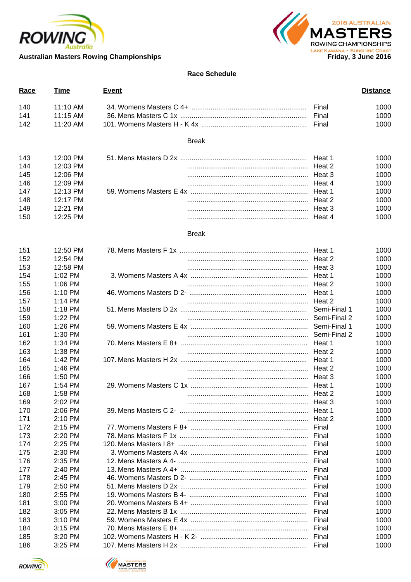



| Race | <b>Time</b> | <b>Event</b> |              | <b>Distance</b> |
|------|-------------|--------------|--------------|-----------------|
| 140  | 11:10 AM    |              | Final        | 1000            |
| 141  | 11:15 AM    |              | Final        | 1000            |
| 142  | 11:20 AM    |              | Final        | 1000            |
|      |             | <b>Break</b> |              |                 |
| 143  | 12:00 PM    |              | Heat 1       | 1000            |
| 144  | 12:03 PM    |              | Heat 2       | 1000            |
| 145  | 12:06 PM    |              | Heat 3       | 1000            |
| 146  | 12:09 PM    |              | Heat 4       | 1000            |
| 147  | 12:13 PM    |              | Heat 1       | 1000            |
| 148  | 12:17 PM    |              | Heat 2       | 1000            |
| 149  | 12:21 PM    |              | Heat 3       | 1000            |
| 150  | 12:25 PM    |              | Heat 4       | 1000            |
|      |             | <b>Break</b> |              |                 |
| 151  | 12:50 PM    |              | Heat 1       | 1000            |
| 152  | 12:54 PM    |              | Heat 2       | 1000            |
| 153  | 12:58 PM    |              | Heat 3       | 1000            |
| 154  | 1:02 PM     |              | Heat 1       | 1000            |
| 155  | 1:06 PM     |              | Heat 2       | 1000            |
| 156  | 1:10 PM     |              | Heat 1       | 1000            |
| 157  | $1:14$ PM   |              | Heat 2       | 1000            |
| 158  | $1:18$ PM   |              | Semi-Final 1 | 1000            |
| 159  | 1:22 PM     |              | Semi-Final 2 | 1000            |
| 160  | 1:26 PM     |              | Semi-Final 1 | 1000            |
| 161  | 1:30 PM     |              | Semi-Final 2 | 1000            |
| 162  | 1:34 PM     |              | Heat 1       | 1000            |
| 163  | 1:38 PM     |              | Heat 2       | 1000            |
| 164  | 1:42 PM     |              | Heat 1       | 1000            |
| 165  | 1:46 PM     |              | Heat 2       | 1000            |
| 166  | 1:50 PM     |              | Heat 3       | 1000            |
| 167  | 1:54 PM     |              | Heat 1       | 1000            |
| 168  | 1:58 PM     |              | Heat 2       | 1000            |
| 169  | 2:02 PM     |              |              | 1000            |
| 170  | 2:06 PM     |              |              | 1000            |
| 171  | 2:10 PM     |              |              | 1000            |
| 172  | 2:15 PM     |              |              | 1000            |
| 173  | 2:20 PM     |              |              | 1000            |
| 174  | 2:25 PM     |              |              | 1000            |
| 175  | 2:30 PM     |              |              | 1000            |
| 176  | 2:35 PM     |              |              | 1000            |
| 177  | 2:40 PM     |              | Final        | 1000            |
| 178  | 2:45 PM     |              | Final        | 1000            |
| 179  | 2:50 PM     |              | Final        | 1000            |
| 180  | 2:55 PM     |              | Final        | 1000            |
| 181  | 3:00 PM     |              | Final        | 1000            |
| 182  | $3:05$ PM   |              | Final        | 1000            |
| 183  | $3:10$ PM   |              | Final        | 1000            |
| 184  | $3:15$ PM   |              | Final        | 1000            |
| 185  | 3:20 PM     |              |              | 1000            |
| 186  | $3:25$ PM   |              | Final        | 1000            |



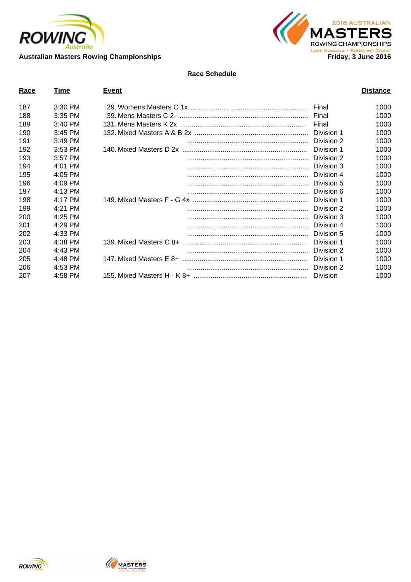



| Race | Time      | Event |            | <b>Distance</b> |
|------|-----------|-------|------------|-----------------|
| 187  | $3:30$ PM |       | Final      | 1000            |
| 188  | $3:35$ PM |       | Final      | 1000            |
| 189  | $3:40$ PM |       | Final      | 1000            |
| 190  | $3:45$ PM |       | Division 1 | 1000            |
| 191  | $3:49$ PM |       | Division 2 | 1000            |
| 192  | $3:53$ PM |       | Division 1 | 1000            |
| 193  | $3:57$ PM |       | Division 2 | 1000            |
| 194  | $4:01$ PM |       | Division 3 | 1000            |
| 195  | $4:05$ PM |       | Division 4 | 1000            |
| 196  | 4:09 PM   |       | Division 5 | 1000            |
| 197  | 4:13 PM   |       | Division 6 | 1000            |
| 198  | 4:17 PM   |       | Division 1 | 1000            |
| 199  | 4:21 PM   |       | Division 2 | 1000            |
| 200  | 4:25 PM   |       | Division 3 | 1000            |
| 201  | 4:29 PM   |       | Division 4 | 1000            |
| 202  | 4:33 PM   |       | Division 5 | 1000            |
| 203  | 4:38 PM   |       | Division 1 | 1000            |
| 204  | 4:43 PM   |       | Division 2 | 1000            |
| 205  | 4:48 PM   |       | Division 1 | 1000            |
| 206  | 4:53 PM   |       | Division 2 | 1000            |
| 207  | 4:58 PM   |       | Division   | 1000            |



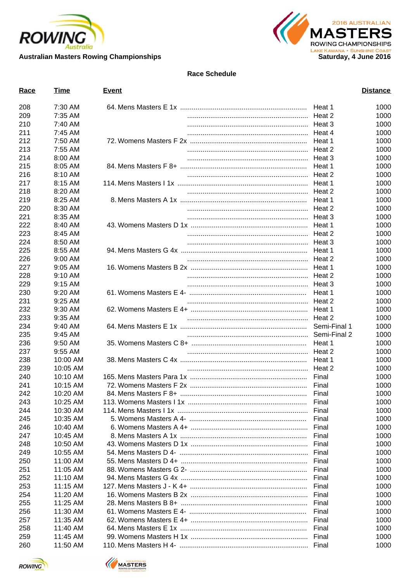



| Race | <b>Time</b>          | <u>Event</u> |              | <b>Distance</b> |
|------|----------------------|--------------|--------------|-----------------|
| 208  | 7:30 AM              |              | Heat 1       | 1000            |
| 209  | 7:35 AM              |              |              | 1000            |
| 210  | 7:40 AM              |              |              | 1000            |
| 211  | 7:45 AM              |              |              | 1000            |
| 212  | 7:50 AM              |              |              | 1000            |
| 213  | 7:55 AM              |              |              | 1000            |
| 214  | 8:00 AM              |              |              | 1000            |
| 215  | 8:05 AM              |              | Heat 1       | 1000            |
| 216  | 8:10 AM              |              |              | 1000            |
| 217  | 8:15 AM              |              |              | 1000            |
| 218  | 8:20 AM              |              |              | 1000            |
| 219  | 8:25 AM              |              | Heat 1       | 1000            |
| 220  | 8:30 AM              |              |              | 1000            |
| 221  | 8:35 AM              |              |              | 1000            |
| 222  | 8:40 AM              |              | Heat 1       | 1000            |
| 223  | 8:45 AM              |              | Heat 2       | 1000            |
| 224  | 8:50 AM              |              | Heat 3       | 1000            |
| 225  | 8:55 AM              |              |              | 1000            |
| 226  | 9:00 AM              |              |              | 1000            |
| 227  | $9:05$ AM            |              |              | 1000            |
| 228  | 9:10 AM              |              |              | 1000            |
| 229  |                      |              |              | 1000            |
|      | $9:15$ AM            |              |              |                 |
| 230  | $9:20$ AM<br>9:25 AM |              | Heat 1       | 1000            |
| 231  |                      |              | Heat 2       | 1000            |
| 232  | 9:30 AM              |              | Heat 1       | 1000            |
| 233  | 9:35 AM              |              | Heat 2       | 1000            |
| 234  | 9:40 AM              |              | Semi-Final 1 | 1000            |
| 235  | $9:45$ AM            |              |              | 1000            |
| 236  | $9:50$ AM            |              | Heat 1       | 1000            |
| 237  | $9:55$ AM            |              | Heat 2       | 1000            |
| 238  | 10:00 AM             |              | Heat 1       | 1000            |
| 239  | 10:05 AM             |              |              | 1000            |
| 240  | 10:10 AM             |              |              | 1000            |
| 241  | 10:15 AM             |              |              | 1000            |
| 242  | 10:20 AM             |              |              | 1000            |
| 243  | 10:25 AM             |              | Final        | 1000            |
| 244  | 10:30 AM             |              |              | 1000            |
| 245  | 10:35 AM             |              | Final        | 1000            |
| 246  | 10:40 AM             |              |              | 1000            |
| 247  | 10:45 AM             |              | Final        | 1000            |
| 248  | 10:50 AM             |              |              | 1000            |
| 249  | 10:55 AM             |              |              | 1000            |
| 250  | 11:00 AM             |              |              | 1000            |
| 251  | 11:05 AM             |              | Final        | 1000            |
| 252  | 11:10 AM             |              | Final        | 1000            |
| 253  | 11:15 AM             |              | Final        | 1000            |
| 254  | 11:20 AM             |              | Final        | 1000            |
| 255  | 11:25 AM             |              | Final        | 1000            |
| 256  | 11:30 AM             |              | Final        | 1000            |
| 257  | 11:35 AM             |              | Final        | 1000            |
| 258  | 11:40 AM             |              | Final        | 1000            |
| 259  | 11:45 AM             |              |              | 1000            |
| 260  | 11:50 AM             |              |              | 1000            |



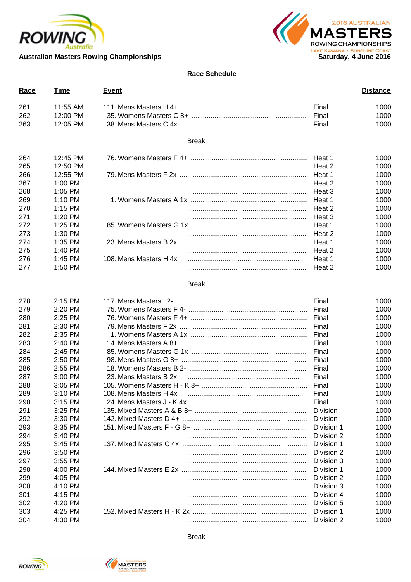



| Race | <b>Time</b>         | <b>Event</b> |            | <b>Distance</b> |
|------|---------------------|--------------|------------|-----------------|
| 261  | 11:55 AM            |              |            | 1000            |
| 262  | 12:00 PM            |              | Final      | 1000            |
| 263  | 12:05 PM            |              |            | 1000            |
|      |                     | <b>Break</b> |            |                 |
| 264  | 12:45 PM            |              | Heat 1     | 1000            |
| 265  | 12:50 PM            |              |            | 1000            |
| 266  | 12:55 PM            |              |            | 1000            |
| 267  | $1:00$ PM           |              | Heat 2     | 1000            |
| 268  | 1:05 PM             |              | Heat 3     | 1000            |
| 269  | $1:10 \, \text{PM}$ |              | Heat 1     | 1000            |
| 270  | $1:15$ PM           |              | Heat 2     | 1000            |
| 271  | 1:20 PM             |              | Heat 3     | 1000            |
| 272  | 1:25 PM             |              | Heat 1     | 1000            |
| 273  | $1:30$ PM           |              | Heat 2     | 1000            |
| 274  | $1:35$ PM           |              | Heat 1     | 1000            |
| 275  | 1:40 PM             |              | Heat 2     | 1000            |
| 276  | 1:45 PM             |              | Heat 1     | 1000            |
| 277  | $1:50$ PM           |              | Heat 2     | 1000            |
|      |                     | <b>Break</b> |            |                 |
| 278  | 2:15 PM             |              | Final      | 1000            |
| 279  | 2:20 PM             |              | Final      | 1000            |
| 280  | $2:25$ PM           |              | Final      | 1000            |
| 281  | 2:30 PM             |              | Final      | 1000            |
| 282  | 2:35 PM             |              | Final      | 1000            |
| 283  | 2:40 PM             |              | Final      | 1000            |
| 284  | 2:45 PM             |              | Final      | 1000            |
| 285  | 2:50 PM             |              | Final      | 1000            |
| 286  | 2:55 PM             |              | Final      | 1000            |
| 287  | 3:00 PM             |              | Final      | 1000            |
| 288  | 3:05 PM             |              |            | 1000            |
| 289  | 3:10 PM             |              | Final      | 1000            |
| 290  | $3:15$ PM           |              |            | 1000            |
| 291  | 3:25 PM             |              |            | 1000            |
| 292  | 3:30 PM             |              | Division   | 1000            |
| 293  | 3:35 PM             |              | Division 1 | 1000            |
| 294  | 3:40 PM             |              | Division 2 | 1000            |
| 295  | 3:45 PM             |              | Division 1 | 1000            |
| 296  | 3:50 PM             |              | Division 2 | 1000            |
| 297  | $3:55$ PM           |              | Division 3 | 1000            |
| 298  | 4:00 PM             |              | Division 1 | 1000            |
| 299  | 4:05 PM             |              | Division 2 | 1000            |
| 300  | 4:10 PM             |              | Division 3 | 1000            |
| 301  | 4:15 PM             |              | Division 4 | 1000            |
| 302  | 4:20 PM             |              | Division 5 | 1000            |
| 303  | 4:25 PM             |              | Division 1 | 1000            |
| 304  | 4:30 PM             |              | Division 2 | 1000            |

Break



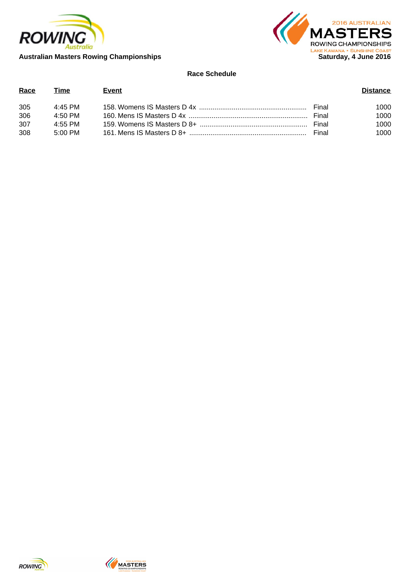



| Race | Time       | Event |       | <b>Distance</b> |
|------|------------|-------|-------|-----------------|
| 305  | 4:45 PM    |       |       | 1000.           |
| 306  | 4:50 PM    |       | Final | 1000            |
| 307  | 4:55 PM    |       |       | 1000.           |
| 308  | $-5:00$ PM |       | Final | 1000            |



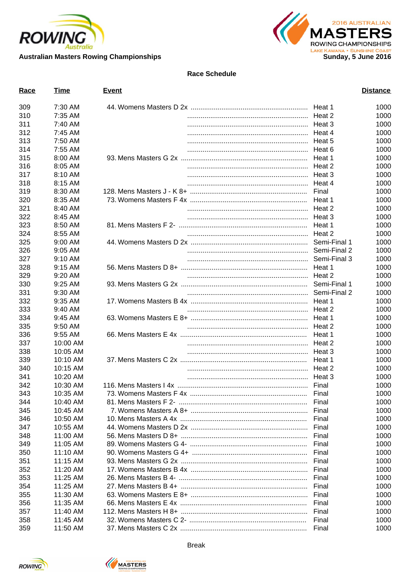



| <u>Race</u> | <b>Time</b> | <b>Event</b> |              | <b>Distance</b> |
|-------------|-------------|--------------|--------------|-----------------|
| 309         | 7:30 AM     |              | Heat 1       | 1000            |
| 310         | 7:35 AM     |              |              | 1000            |
| 311         | 7:40 AM     |              |              | 1000            |
| 312         | 7:45 AM     |              |              | 1000            |
| 313         | 7:50 AM     |              |              | 1000            |
| 314         | 7:55 AM     |              |              | 1000            |
| 315         | 8:00 AM     |              | Heat 1       | 1000            |
| 316         | 8:05 AM     |              | Heat 2       | 1000            |
| 317         | 8:10 AM     |              | Heat 3       | 1000            |
| 318         | 8:15 AM     |              | Heat 4       | 1000            |
| 319         | 8:30 AM     |              | Final        | 1000            |
| 320         | 8:35 AM     |              | Heat 1       | 1000            |
| 321         | 8:40 AM     |              | Heat 2       | 1000            |
| 322         | 8:45 AM     |              | Heat 3       | 1000            |
| 323         | 8:50 AM     |              | Heat 1       | 1000            |
| 324         | 8:55 AM     |              | Heat 2       | 1000            |
| 325         | $9:00$ AM   |              | Semi-Final 1 | 1000            |
| 326         | $9:05$ AM   |              |              | 1000            |
| 327         | $9:10$ AM   |              |              | 1000            |
| 328         | $9:15$ AM   |              |              | 1000            |
| 329         | 9:20 AM     |              |              | 1000            |
| 330         | 9:25 AM     |              |              | 1000            |
| 331         | 9:30 AM     |              | Semi-Final 2 | 1000            |
| 332         | 9:35 AM     |              | Heat 1       | 1000            |
| 333         | 9:40 AM     |              | Heat 2       | 1000            |
| 334         | 9:45 AM     |              | Heat 1       | 1000            |
| 335         | 9:50 AM     |              | Heat 2       | 1000            |
| 336         | $9:55$ AM   |              | Heat 1       | 1000            |
| 337         | 10:00 AM    |              | Heat 2       | 1000            |
| 338         | 10:05 AM    |              | Heat 3       | 1000            |
| 339         |             |              | Heat 1       | 1000            |
|             | 10:10 AM    |              |              |                 |
| 340         | 10:15 AM    |              |              | 1000            |
| 341         | 10:20 AM    |              |              | 1000            |
| 342         | 10:30 AM    |              |              | 1000            |
| 343         | 10:35 AM    |              |              | 1000            |
| 344         | 10:40 AM    |              | Final        | 1000            |
| 345         | 10:45 AM    |              |              | 1000            |
| 346         | 10:50 AM    |              | Final        | 1000            |
| 347         | 10:55 AM    |              | Final        | 1000            |
| 348         | 11:00 AM    |              | Final        | 1000            |
| 349         | 11:05 AM    |              | Final        | 1000            |
| 350         | 11:10 AM    |              | Final        | 1000            |
| 351         | 11:15 AM    |              | Final        | 1000            |
| 352         | 11:20 AM    |              | Final        | 1000            |
| 353         | 11:25 AM    |              | Final        | 1000            |
| 354         | 11:25 AM    |              | Final        | 1000            |
| 355         | 11:30 AM    |              | Final        | 1000            |
| 356         | 11:35 AM    |              | Final        | 1000            |
| 357         | 11:40 AM    |              | Final        | 1000            |
| 358         | 11:45 AM    |              | Final        | 1000            |
| 359         | 11:50 AM    |              | Final        | 1000            |



MASTERS